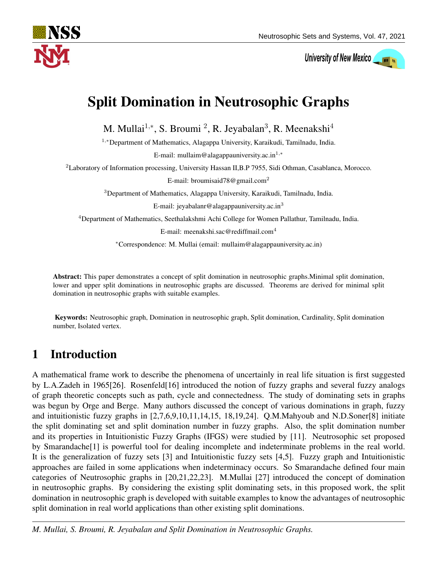

University of New Mexico

# Split Domination in Neutrosophic Graphs

M. Mullai<sup>1,\*</sup>, S. Broumi<sup>2</sup>, R. Jeyabalan<sup>3</sup>, R. Meenakshi<sup>4</sup>

<sup>1</sup>,∗Department of Mathematics, Alagappa University, Karaikudi, Tamilnadu, India.

E-mail: mullaim@alagappauniversity.ac.in<sup>1,∗</sup>

<sup>2</sup>Laboratory of Information processing, University Hassan II,B.P 7955, Sidi Othman, Casablanca, Morocco.

E-mail: broumisaid78@gmail.com<sup>2</sup>

<sup>3</sup>Department of Mathematics, Alagappa University, Karaikudi, Tamilnadu, India.

E-mail: jeyabalanr@alagappauniversity.ac.in<sup>3</sup>

<sup>4</sup>Department of Mathematics, Seethalakshmi Achi College for Women Pallathur, Tamilnadu, India.

E-mail: meenakshi.sac@rediffmail.com<sup>4</sup>

<sup>∗</sup>Correspondence: M. Mullai (email: mullaim@alagappauniversity.ac.in)

Abstract: This paper demonstrates a concept of split domination in neutrosophic graphs.Minimal split domination, lower and upper split dominations in neutrosophic graphs are discussed. Theorems are derived for minimal split domination in neutrosophic graphs with suitable examples.

Keywords: Neutrosophic graph, Domination in neutrosophic graph, Split domination, Cardinality, Split domination number, Isolated vertex.

## 1 Introduction

A mathematical frame work to describe the phenomena of uncertainly in real life situation is first suggested by L.A.Zadeh in 1965[26]. Rosenfeld[16] introduced the notion of fuzzy graphs and several fuzzy analogs of graph theoretic concepts such as path, cycle and connectedness. The study of dominating sets in graphs was begun by Orge and Berge. Many authors discussed the concept of various dominations in graph, fuzzy and intuitionistic fuzzy graphs in [2,7,6,9,10,11,14,15, 18,19,24]. Q.M.Mahyoub and N.D.Soner[8] initiate the split dominating set and split domination number in fuzzy graphs. Also, the split domination number and its properties in Intuitionistic Fuzzy Graphs (IFGS) were studied by [11]. Neutrosophic set proposed by Smarandache[1] is powerful tool for dealing incomplete and indeterminate problems in the real world. It is the generalization of fuzzy sets [3] and Intuitionistic fuzzy sets [4,5]. Fuzzy graph and Intuitionistic approaches are failed in some applications when indeterminacy occurs. So Smarandache defined four main categories of Neutrosophic graphs in [20,21,22,23]. M.Mullai [27] introduced the concept of domination in neutrosophic graphs. By considering the existing split dominating sets, in this proposed work, the split domination in neutrosophic graph is developed with suitable examples to know the advantages of neutrosophic split domination in real world applications than other existing split dominations.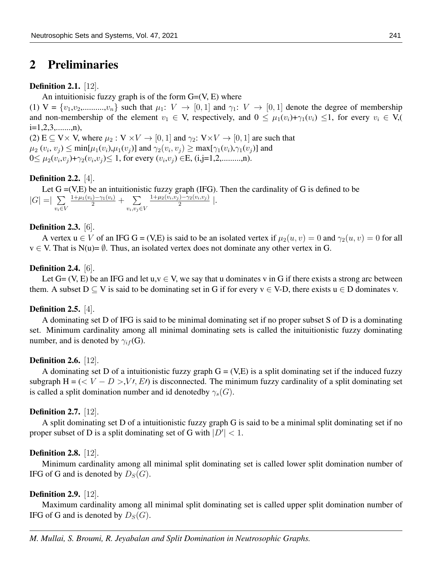## 2 Preliminaries

#### **Definition 2.1.** [12].

An intuitionisic fuzzy graph is of the form  $G=(V, E)$  where

(1)  $V = \{v_1, v_2, \dots, v_n\}$  such that  $\mu_1: V \to [0, 1]$  and  $\gamma_1: V \to [0, 1]$  denote the degree of membership and non-membership of the element  $v_1 \in V$ , respectively, and  $0 \leq \mu_1(v_i)+\gamma_1(v_i) \leq 1$ , for every  $v_i \in V$ ,  $i=1,2,3,......,n),$ 

(2) E  $\subseteq$  V  $\times$  V, where  $\mu_2$  : V  $\times$  V  $\rightarrow$  [0, 1] and  $\gamma_2$ : V  $\times$  V  $\rightarrow$  [0, 1] are such that  $\mu_2(v_i, v_j) \le \min[\mu_1(v_i), \mu_1(v_j)]$  and  $\gamma_2(v_i, v_j) \ge \max[\gamma_1(v_i), \gamma_1(v_j)]$  and  $0 \leq \mu_2(v_i, v_j) + \gamma_2(v_i, v_j) \leq 1$ , for every  $(v_i, v_j) \in E$ , (i,j=1,2,.........,n).

#### Definition 2.2. [4].

Let  $G = (V,E)$  be an intuitionistic fuzzy graph (IFG). Then the cardinality of G is defined to be  $|G| = \sum$  $v_i \in V$  $\frac{1+\mu_1(v_i)-\gamma_1(v_i)}{2} + \sum$  $v_i, v_j \in V$  $1+\mu_2(v_i,v_j)-\gamma_2(v_i,v_j)$  $\frac{(-\gamma_2(v_i,v_j))}{2}$  |.

#### **Definition 2.3.** [6].

A vertex  $u \in V$  of an IFG G = (V,E) is said to be an isolated vertex if  $\mu_2(u, v) = 0$  and  $\gamma_2(u, v) = 0$  for all  $v \in V$ . That is  $N(u) = \emptyset$ . Thus, an isolated vertex does not dominate any other vertex in G.

#### **Definition 2.4.** [6].

Let  $G = (V, E)$  be an IFG and let  $u, v \in V$ , we say that u dominates v in G if there exists a strong arc between them. A subset  $D \subseteq V$  is said to be dominating set in G if for every  $v \in V-D$ , there exists  $u \in D$  dominates v.

#### Definition 2.5. [4].

A dominating set D of IFG is said to be minimal dominating set if no proper subset S of D is a dominating set. Minimum cardinality among all minimal dominating sets is called the inituitionistic fuzzy dominating number, and is denoted by  $\gamma_{if}$  (G).

#### **Definition 2.6.** [12].

A dominating set D of a intuitionistic fuzzy graph  $G = (V,E)$  is a split dominating set if the induced fuzzy subgraph  $H = \langle \langle V - D \rangle, V, E \rangle$  is disconnected. The minimum fuzzy cardinality of a split dominating set is called a split domination number and id denoted by  $\gamma_s(G)$ .

#### **Definition 2.7.** [12].

A split dominating set D of a intuitionistic fuzzy graph G is said to be a minimal split dominating set if no proper subset of D is a split dominating set of G with  $|D'| < 1$ .

#### Definition 2.8. [12].

Minimum cardinality among all minimal split dominating set is called lower split domination number of IFG of G and is denoted by  $D_S(G)$ .

#### **Definition 2.9.** [12].

Maximum cardinality among all minimal split dominating set is called upper split domination number of IFG of G and is denoted by  $D_S(G)$ .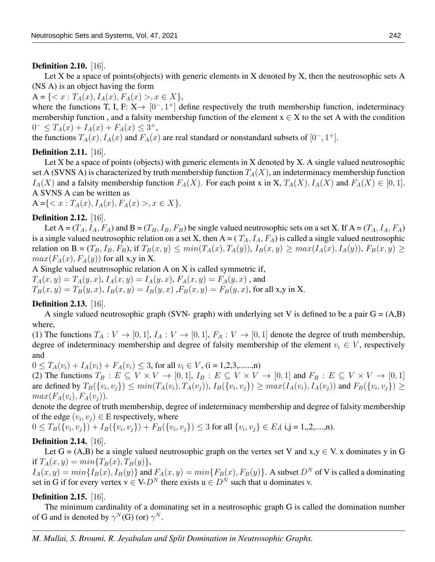#### **Definition 2.10.** [16].

Let X be a space of points(objects) with generic elements in X denoted by X, then the neutrosophic sets A (NS A) is an object having the form

 $A = \{ \langle x : T_A(x), I_A(x), F_A(x) \rangle, x \in X \},\$ 

where the functions T, I, F:  $X \rightarrow [0^-, 1^+]$  define respectively the truth membership function, indeterminacy membership function, and a falsity membership function of the element  $x \in X$  to the set A with the condition  $0^- \leq T_A(x) + I_A(x) + F_A(x) \leq 3^+,$ 

the functions  $T_A(x)$ ,  $I_A(x)$  and  $F_A(x)$  are real standard or nonstandard subsets of  $[0^-, 1^+]$ .

## **Definition 2.11.** [16].

Let X be a space of points (objects) with generic elements in X denoted by X. A single valued neutrosophic set A (SVNS A) is characterized by truth membership function  $T_A(X)$ , an indeterminacy membership function  $I_A(X)$  and a falsity membership function  $F_A(X)$ . For each point x in X,  $T_A(X)$ ,  $I_A(X)$  and  $F_A(X) \in [0,1]$ . A SVNS A can be written as

 $A = \{ \langle x : T_A(x), I_A(x), F_A(x) \rangle, x \in X \}.$ 

## Definition 2.12. [16].

Let A =  $(T_A, I_A, F_A)$  and B =  $(T_B, I_B, F_B)$  be single valued neutrosophic sets on a set X. If A =  $(T_A, I_A, F_A)$ is a single valued neutrosophic relation on a set X, then  $A = (T_A, I_A, F_A)$  is called a single valued neutrosophic relation on B =  $(T_B, I_B, F_B)$ , if  $T_B(x, y) \le min(T_A(x), T_A(y))$ ,  $I_B(x, y) \ge max(I_A(x), I_A(y))$ ,  $F_B(x, y) \ge$  $max(F_A(x), F_A(y))$  for all x,y in X.

A Single valued neutrosophic relation A on X is called symmetric if,

 $T_A(x, y) = T_A(y, x), I_A(x, y) = I_A(y, x), F_A(x, y) = F_A(y, x)$ , and

 $T_B(x, y) = T_B(y, x), I_B(x, y) = I_B(y, x)$ ,  $F_B(x, y) = F_B(y, x)$ , for all x,y in X.

### **Definition 2.13.** [16].

A single valued neutrosophic graph (SVN- graph) with underlying set V is defined to be a pair  $G = (A,B)$ where,

(1) The functions  $T_A: V \to [0,1], I_A: V \to [0,1], F_A: V \to [0,1]$  denote the degree of truth membership, degree of indeterminacy membership and degree of falsity membership of the element  $v_i \in V$ , respectively and

 $0 \leq T_A(v_i) + I_A(v_i) + F_A(v_i) \leq 3$ , for all  $v_i \in V$ , (i = 1,2,3,......,n)

(2) The functions  $T_B : E \subseteq V \times V \to [0,1], I_B : E \subseteq V \times V \to [0,1]$  and  $F_B : E \subseteq V \times V \to [0,1]$ are defined by  $T_B(\{v_i, v_j\}) \le min(T_A(v_i), T_A(v_j)), I_B(\{v_i, v_j\}) \ge max(I_A(v_i), I_A(v_j))$  and  $F_B(\{v_i, v_j\}) \ge$  $max(F_A(v_i), F_A(v_i)).$ 

denote the degree of truth membership, degree of indeterminacy membership and degree of falsity membership of the edge  $(v_i, v_j) \in E$  respectively, where

$$
0 \leq T_B(\{v_i, v_j\}) + I_B(\{v_i, v_j\}) + F_B(\{v_i, v_j\}) \leq 3 \text{ for all } \{v_i, v_j\} \in E, \text{(i,j = 1,2,...,n)}.
$$

## **Definition 2.14.** [16].

Let  $G = (A,B)$  be a single valued neutrosophic graph on the vertex set V and  $x, y \in V$ . x dominates y in G if  $T_A(x, y) = min\{T_B(x), T_B(y)\},\,$ 

 $I_A(x, y) = min\{I_B(x), I_B(y)\}\$ and  $F_A(x, y) = min\{F_B(x), F_B(y)\}\$ . A subset  $D^N$  of V is called a dominating set in G if for every vertex  $v \in V - D^N$  there exists  $u \in D^N$  such that u dominates v.

## **Definition 2.15.** [16].

The minimum cardinality of a dominating set in a neutrosophic graph G is called the domination number of G and is denoted by  $\gamma^N(G)$  (or)  $\gamma^N$ .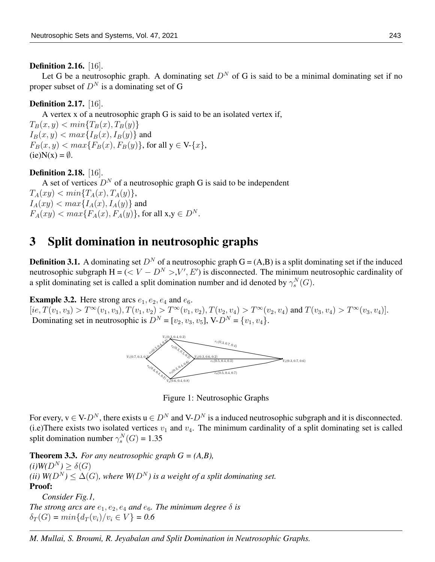#### Definition 2.16. [16].

Let G be a neutrosophic graph. A dominating set  $D<sup>N</sup>$  of G is said to be a minimal dominating set if no proper subset of  $D<sup>N</sup>$  is a dominating set of G

## Definition 2.17. [16].

A vertex x of a neutrosophic graph G is said to be an isolated vertex if,

 $T_B(x, y) < min\{T_B(x), T_B(y)\}\$  $I_B(x, y) < max{I_B(x), I_B(y)}$  and  $F_B(x, y) < max\{F_B(x), F_B(y)\}\text{, for all } y \in V\{x\}\text{,}$  $(ie)N(x) = \emptyset$ .

## **Definition 2.18.** [16].

A set of vertices  $D<sup>N</sup>$  of a neutrosophic graph G is said to be independent  $T_A(xy) \leq min\{T_A(x), T_A(y)\},\$  $I_A(xy) < max{I_A(x), I_A(y)}$  and  $F_A(xy) < max\{F_A(x), F_A(y)\}\text{, for all } x, y \in D^N\text{.}$ 

## 3 Split domination in neutrosophic graphs

**Definition 3.1.** A dominating set  $D^N$  of a neutrosophic graph  $G = (A,B)$  is a split dominating set if the induced neutrosophic subgraph  $H = ( \langle V - D^N \rangle, V', E')$  is disconnected. The minimum neutrosophic cardinality of a split dominating set is called a split domination number and id denoted by  $\gamma_s^N(G)$ .

**Example 3.2.** Here strong arcs  $e_1, e_2, e_4$  and  $e_6$ .

 $[ie, T(v_1, v_3) > T^{\infty}(v_1, v_3), T(v_1, v_2) > T^{\infty}(v_1, v_2), T(v_2, v_4) > T^{\infty}(v_2, v_4)$  and  $T(v_3, v_4) > T^{\infty}(v_3, v_4)$ ]. Dominating set in neutrosophic is  $D^N = [v_2, v_3, v_5]$ , V- $D^N = \{v_1, v_4\}$ .



Figure 1: Neutrosophic Graphs

For every,  $v \in V-D^N$ , there exists  $u \in D^N$  and  $V-D^N$  is a induced neutrosophic subgraph and it is disconnected. (i.e)There exists two isolated vertices  $v_1$  and  $v_4$ . The minimum cardinality of a split dominating set is called split domination number  $\gamma_s^N(G) = 1.35$ 

Theorem 3.3. *For any neutrosophic graph G = (A,B),*  $(i)W(D^N) > \delta(G)$ *(ii)*  $W(D^N) \leq \Delta(G)$ *, where*  $W(D^N)$  *is a weight of a split dominating set.* Proof:

*Consider Fig.1, The strong arcs are*  $e_1, e_2, e_4$  *and*  $e_6$ *. The minimum degree*  $\delta$  *is*  $\delta_T(G) = min\{d_T(v_i)/v_i \in V\} = 0.6$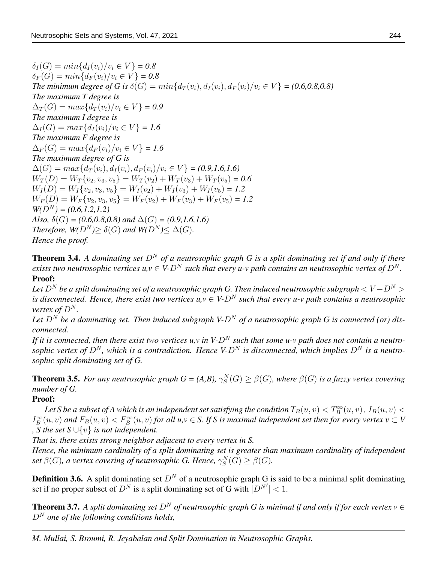$\delta_I(G) = min\{d_I(v_i)/v_i \in V\} = 0.8$  $\delta_F(G) = min\{d_F(v_i)/v_i \in V\} = 0.8$ *The minimum degree of G is*  $\delta(G) = min\{d_T(v_i), d_I(v_i), d_F(v_i)/v_i \in V\} = (0.6, 0.8, 0.8)$ *The maximum T degree is*  $\Delta_T(G) = max\{d_T(v_i)/v_i \in V\} = 0.9$ *The maximum I degree is*  $\Delta_I(G) = max\{d_I(v_i)/v_i \in V\} = 1.6$ *The maximum F degree is*  $\Delta_F(G) = max\{d_F(v_i)/v_i \in V\} = 1.6$ *The maximum degree of G is*  $\Delta(G) = max\{d_T(v_i), d_I(v_i), d_F(v_i)/v_i \in V\} = (0.9, 1.6, 1.6)$  $W_T(D) = W_T\{v_2, v_3, v_5\} = W_T(v_2) + W_T(v_3) + W_T(v_5) = 0.6$  $W_I(D) = W_I \{v_2, v_3, v_5\} = W_I(v_2) + W_I(v_3) + W_I(v_5) = 1.2$  $W_F(D) = W_F \{v_2, v_3, v_5\} = W_F(v_2) + W_F(v_3) + W_F(v_5) = 1.2$  $W(D^N) = (0.6, 1.2, 1.2)$ *Also,*  $\delta(G) = (0.6, 0.8, 0.8)$  and  $\Delta(G) = (0.9, 1.6, 1.6)$ *Therefore,*  $W(D^N) \ge \delta(G)$  *and*  $W(D^N) \le \Delta(G)$ *. Hence the proof.*

**Theorem 3.4.** *A dominating set*  $D^N$  *of a neutrosophic graph G is a split dominating set if and only if there exists two neutrosophic vertices u,v*  $\in$  *V-D<sup>N</sup> such that every u-v path contains an neutrosophic vertex of D<sup>N</sup>.* Proof:

Let  $D^N$  be a split dominating set of a neutrosophic graph G. Then induced neutrosophic subgraph  $\lt V - D^N >$ *is disconnected. Hence, there exist two vertices*  $u, v \in V-D^N$  *such that every u-v path contains a neutrosophic vertex of*  $D^N$ .

Let  $D^N$  be a dominating set. Then induced subgraph V- $D^N$  of a neutrosophic graph G is connected (or) dis*connected.*

If it is connected, then there exist two vertices u, v in  $V \cdot D^N$  such that some u-v path does not contain a neutrosophic vertex of  $D^N$ , which is a contradiction. Hence V- $D^N$  is disconnected, which implies  $D^N$  is a neutro*sophic split dominating set of G.*

**Theorem 3.5.** For any neutrosophic graph  $G = (A,B)$ ,  $\gamma_S^N(G) \geq \beta(G)$ , where  $\beta(G)$  is a fuzzy vertex covering *number of G.*

### Proof:

Let S be a subset of A which is an independent set satisfying the condition  $T_B(u,v) < T_B^\infty(u,v)$  ,  $I_B(u,v) <$  $I_B^{\infty}(u, v)$  and  $F_B(u, v) < F_B^{\infty}(u, v)$  for all  $u, v \in S$ . If S is maximal independent set then for every vertex  $v \subset V$ *, S the set S* ∪{v} *is not independent.*

*That is, there exists strong neighbor adjacent to every vertex in S.*

*Hence, the minimum cardinality of a split dominating set is greater than maximum cardinality of independent* set  $\beta(G)$ , a vertex covering of neutrosophic G. Hence,  $\gamma^N_S(G) \geq \beta(G)$ .

**Definition 3.6.** A split dominating set  $D<sup>N</sup>$  of a neutrosophic graph G is said to be a minimal split dominating set if no proper subset of  $D^N$  is a split dominating set of G with  $|D^{N'}| < 1$ .

**Theorem 3.7.** *A split dominating set*  $D^N$  *of neutrosophic graph G is minimal if and only if for each vertex v*  $\in$  $D<sup>N</sup>$  one of the following conditions holds,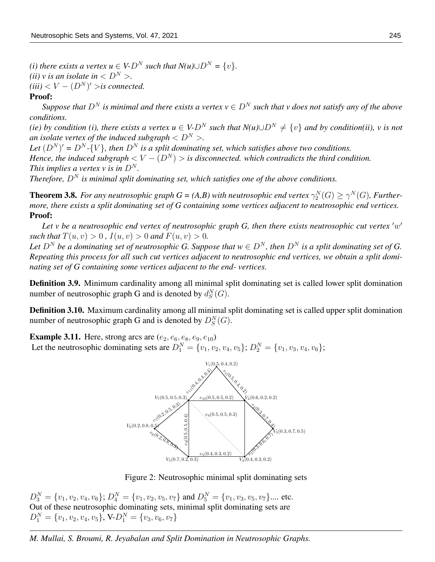*(i) there exists a vertex u*  $\in V$ - $D^N$  *such that*  $N(u) \cup D^N = \{v\}$ . *(ii) v is an isolate in*  $\langle D^N \rangle$ .  $(iii) < V - (D<sup>N</sup>)' >$  *is connected.* 

#### Proof:

*Suppose that*  $D^N$  *is minimal and there exists a vertex*  $v \in D^N$  *such that v does not satisfy any of the above conditions.*

*(ie) by condition (i), there exists a vertex u*  $\in V$ - $D^N$  *such that*  $N(u) \cup D^N \neq \{v\}$  *and by condition(ii), v is not an isolate vertex of the induced subgraph*  $\langle D^N \rangle$ .

Let  $(D^N)' = D^N - \{V\}$ , then  $D^N$  is a split dominating set, which satisfies above two conditions. *Hence, the induced subgraph*  $\lt V - (D^N) >$  *is disconnected, which contradicts the third condition. This implies a vertex v is in*  $D^N$ *.* 

*Therefore,*  $D^N$  *is minimal split dominating set, which satisfies one of the above conditions.* 

**Theorem 3.8.** For any neutrosophic graph  $G = (A,B)$  with neutrosophic end vertex  $\gamma_2^N(G) \ge \gamma^N(G)$ , Further*more, there exists a split dominating set of G containing some vertices adjacent to neutrosophic end vertices.* Proof:

Let  $v$  be a neutrosophic end vertex of neutrosophic graph  $G$ , then there exists neutrosophic cut vertex  $'w'$ *such that*  $T(u, v) > 0$ ,  $I(u, v) > 0$  *and*  $F(u, v) > 0$ .

Let  $D^N$  be a dominating set of neutrosophic G. Suppose that  $w \in D^N$ , then  $D^N$  is a split dominating set of G. *Repeating this process for all such cut vertices adjacent to neutrosophic end vertices, we obtain a split dominating set of G containing some vertices adjacent to the end- vertices.*

Definition 3.9. Minimum cardinality among all minimal split dominating set is called lower split domination number of neutrosophic graph G and is denoted by  $d_S^N(G)$ .

Definition 3.10. Maximum cardinality among all minimal split dominating set is called upper split domination number of neutrosophic graph G and is denoted by  $D_S^N(G)$ .

**Example 3.11.** Here, strong arcs are  $(e_2, e_6, e_8, e_9, e_{10})$ Let the neutrosophic dominating sets are  $D_1^N = \{v_1, v_2, v_4, v_5\}$ ;  $D_2^N = \{v_1, v_3, v_4, v_6\}$ ;



Figure 2: Neutrosophic minimal split dominating sets

 $D_3^N = \{v_1, v_2, v_4, v_6\}$ ;  $D_4^N = \{v_1, v_2, v_5, v_7\}$  and  $D_5^N = \{v_1, v_3, v_5, v_7\}$ .... etc. Out of these neutrosophic dominating sets, minimal split dominating sets are  $D_1^N = \{v_1, v_2, v_4, v_5\}$ , V- $D_1^N = \{v_3, v_6, v_7\}$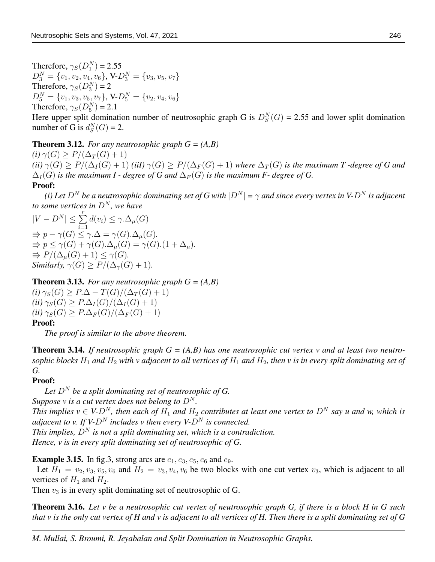Therefore,  $\gamma_S(D_1^N) = 2.55$  $D_3^N = \{v_1, v_2, v_4, v_6\}, \text{V-}D_3^N = \{v_3, v_5, v_7\}$ Therefore,  $\gamma_S(D_3^N)=2$  $D_5^N = \{v_1, v_3, v_5, v_7\}, \text{V-}D_5^N = \{v_2, v_4, v_6\}$ Therefore,  $\gamma_S(D_5^N) = 2.1$ 

Here upper split domination number of neutrosophic graph G is  $D_S^N(G) = 2.55$  and lower split domination number of G is  $d_S^N(G) = 2$ .

**Theorem 3.12.** *For any neutrosophic graph*  $G = (A, B)$ 

 $(i)$   $\gamma(G) \geq P/(\Delta_T(G)+1)$  $(iii)$   $\gamma(G) \geq P/(\Delta_I(G) + 1)$  *(iiI)*  $\gamma(G) \geq P/(\Delta_F(G) + 1)$  *where*  $\Delta_T(G)$  *is the maximum T* -degree of G and  $\Delta_I(G)$  *is the maximum I - degree of G and*  $\Delta_F(G)$  *is the maximum F- degree of G.* Proof:

*(i) Let*  $D^N$  *be a neutrosophic dominating set of G with*  $|D^N| = \gamma$  *and since every vertex in* V- $D^N$  *is adjacent to some vertices in*  $D^N$ *, we have* 

 $|V - D^N| \leq \sum^r$  $i=1$  $d(v_i) \leq \gamma \Delta_\mu(G)$  $\Rightarrow$   $p - \gamma(G) \leq \gamma \Delta = \gamma(G) \Delta_{\mu}(G)$ .  $\Rightarrow p \leq \gamma(G) + \gamma(G) \Delta_{\mu}(G) = \gamma(G) \cdot (1 + \Delta_{\mu}).$  $\Rightarrow$   $P/(\Delta_u(G) + 1) \leq \gamma(G)$ . *Similarly,*  $\gamma(G) \geq P/(\Delta_{\gamma}(G) + 1)$ *.* 

**Theorem 3.13.** *For any neutrosophic graph*  $G = (A, B)$  $(i)$   $\gamma_S(G) \geq P.\Delta - T(G)/(\Delta_T(G) + 1)$ 

 $(iii)$   $\gamma_S(G)$  >  $P.\Delta_I(G)/(\Delta_I(G)+1)$  $(iii)$   $\gamma_S(G) \geq P.\Delta_F(G)/(\Delta_F(G)+1)$ Proof:

*The proof is similar to the above theorem.*

**Theorem 3.14.** If neutrosophic graph  $G = (A, B)$  has one neutrosophic cut vertex v and at least two neutro*sophic blocks*  $H_1$  *and*  $H_2$  *with v adjacent to all vertices of*  $H_1$  *and*  $H_2$ *, then v is in every split dominating set of G.*

### Proof:

Let  $D^N$  be a split dominating set of neutrosophic of G.

*Suppose v is a cut vertex does not belong to*  $D^N$ .

*This implies v*  $\in$  *V-D<sup>N</sup>*, then each of  $H_1$  and  $H_2$  contributes at least one vertex to D<sup>N</sup> say u and w, which is *adjacent to v. If V-D<sup>N</sup> includes v then every V-D<sup>N</sup> is connected.* 

*This implies,*  $D^N$  *is not a split dominating set, which is a contradiction. Hence, v is in every split dominating set of neutrosophic of G.*

**Example 3.15.** In fig.3, strong arcs are  $e_1, e_3, e_5, e_6$  and  $e_9$ .

Let  $H_1 = v_2, v_3, v_5, v_6$  and  $H_2 = v_3, v_4, v_6$  be two blocks with one cut vertex  $v_3$ , which is adjacent to all vertices of  $H_1$  and  $H_2$ .

Then  $v_3$  is in every split dominating set of neutrosophic of G.

Theorem 3.16. *Let v be a neutrosophic cut vertex of neutrosophic graph G, if there is a block H in G such that v is the only cut vertex of H and v is adjacent to all vertices of H. Then there is a split dominating set of G*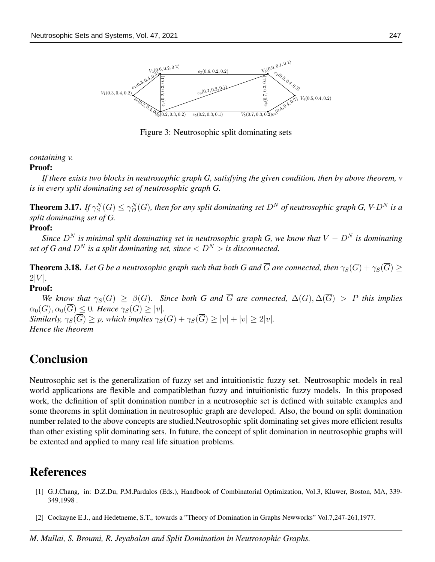

Figure 3: Neutrosophic split dominating sets

*containing v.*

#### Proof:

*If there exists two blocks in neutrosophic graph G, satisfying the given condition, then by above theorem, v is in every split dominating set of neutrosophic graph G.*

**Theorem 3.17.** If  $\gamma^N_S(G) \leq \gamma^N_D(G)$ , then for any split dominating set  $D^N$  of neutrosophic graph G, V- $D^N$  is a *split dominating set of G.*

## Proof:

*Since*  $D^N$  *is minimal split dominating set in neutrosophic graph G, we know that*  $V - D^N$  *is dominating set of G and*  $D^N$  *is a split dominating set, since*  $\langle D^N \rangle$  *is disconnected.* 

**Theorem 3.18.** Let G be a neutrosophic graph such that both G and  $\overline{G}$  are connected, then  $\gamma_S(G) + \gamma_S(\overline{G})$  $2|V|$ .

### Proof:

*We know that*  $\gamma_S(G) \geq \beta(G)$ *. Since both* G and  $\overline{G}$  are connected,  $\Delta(G), \Delta(\overline{G}) > P$  this implies  $\alpha_0(G)$ ,  $\alpha_0(\overline{G}) \leq 0$ . Hence  $\gamma_S(G) > |v|$ . *Similarly,*  $\gamma_S(\overline{G})$  > p, which implies  $\gamma_S(G) + \gamma_S(\overline{G})$  >  $|v| + |v|$  > 2|v|. *Hence the theorem*

## **Conclusion**

Neutrosophic set is the generalization of fuzzy set and intuitionistic fuzzy set. Neutrosophic models in real world applications are flexible and compatiblethan fuzzy and intuitionistic fuzzy models. In this proposed work, the definition of split domination number in a neutrosophic set is defined with suitable examples and some theorems in split domination in neutrosophic graph are developed. Also, the bound on split domination number related to the above concepts are studied.Neutrosophic split dominating set gives more efficient results than other existing split dominating sets. In future, the concept of split domination in neutrosophic graphs will be extented and applied to many real life situation problems.

## References

- [1] G.J.Chang, in: D.Z.Du, P.M.Pardalos (Eds.), Handbook of Combinatorial Optimization, Vol.3, Kluwer, Boston, MA, 339- 349,1998 .
- [2] Cockayne E.J., and Hedetneme, S.T., towards a "Theory of Domination in Graphs Newworks" Vol.7,247-261,1977.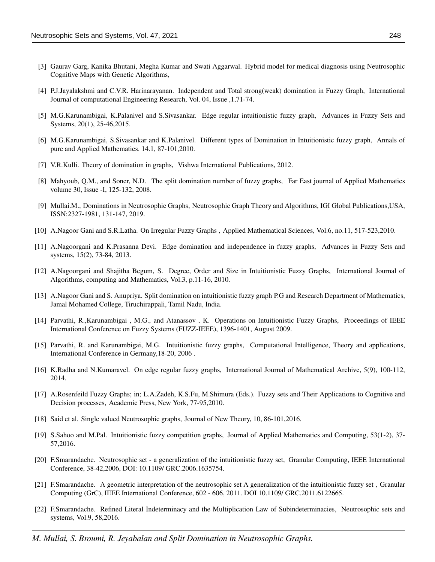- [3] Gaurav Garg, Kanika Bhutani, Megha Kumar and Swati Aggarwal. Hybrid model for medical diagnosis using Neutrosophic Cognitive Maps with Genetic Algorithms,
- [4] P.J.Jayalakshmi and C.V.R. Harinarayanan. Independent and Total strong(weak) domination in Fuzzy Graph, International Journal of computational Engineering Research, Vol. 04, Issue ,1,71-74.
- [5] M.G.Karunambigai, K.Palanivel and S.Sivasankar. Edge regular intuitionistic fuzzy graph, Advances in Fuzzy Sets and Systems, 20(1), 25-46,2015.
- [6] M.G.Karunambigai, S.Sivasankar and K.Palanivel. Different types of Domination in Intuitionistic fuzzy graph, Annals of pure and Applied Mathematics. 14.1, 87-101,2010.
- [7] V.R.Kulli. Theory of domination in graphs, Vishwa International Publications, 2012.
- [8] Mahyoub, Q.M., and Soner, N.D. The split domination number of fuzzy graphs, Far East journal of Applied Mathematics volume 30, Issue -I, 125-132, 2008.
- [9] Mullai.M., Dominations in Neutrosophic Graphs, Neutrosophic Graph Theory and Algorithms, IGI Global Publications,USA, ISSN:2327-1981, 131-147, 2019.
- [10] A.Nagoor Gani and S.R.Latha. On Irregular Fuzzy Graphs , Applied Mathematical Sciences, Vol.6, no.11, 517-523,2010.
- [11] A.Nagoorgani and K.Prasanna Devi. Edge domination and independence in fuzzy graphs, Advances in Fuzzy Sets and systems, 15(2), 73-84, 2013.
- [12] A.Nagoorgani and Shajitha Begum, S. Degree, Order and Size in Intuitionistic Fuzzy Graphs, International Journal of Algorithms, computing and Mathematics, Vol.3, p.11-16, 2010.
- [13] A.Nagoor Gani and S. Anupriya. Split domination on intuitionistic fuzzy graph P.G and Research Department of Mathematics, Jamal Mohamed College, Tiruchirappali, Tamil Nadu, India.
- [14] Parvathi, R.,Karunambigai , M.G., and Atanassov , K. Operations on Intuitionistic Fuzzy Graphs, Proceedings of IEEE International Conference on Fuzzy Systems (FUZZ-IEEE), 1396-1401, August 2009.
- [15] Parvathi, R. and Karunambigai, M.G. Intuitionistic fuzzy graphs, Computational Intelligence, Theory and applications, International Conference in Germany,18-20, 2006 .
- [16] K.Radha and N.Kumaravel. On edge regular fuzzy graphs, International Journal of Mathematical Archive, 5(9), 100-112, 2014.
- [17] A.Rosenfeild Fuzzy Graphs; in; L.A.Zadeh, K.S.Fu, M.Shimura (Eds.). Fuzzy sets and Their Applications to Cognitive and Decision processes, Academic Press, New York, 77-95,2010.
- [18] Said et al. Single valued Neutrosophic graphs, Journal of New Theory, 10, 86-101,2016.
- [19] S.Sahoo and M.Pal. Intuitionistic fuzzy competition graphs, Journal of Applied Mathematics and Computing, 53(1-2), 37- 57,2016.
- [20] F.Smarandache. Neutrosophic set a generalization of the intuitionistic fuzzy set, Granular Computing, IEEE International Conference, 38-42,2006, DOI: 10.1109/ GRC.2006.1635754.
- [21] F.Smarandache. A geometric interpretation of the neutrosophic set A generalization of the intuitionistic fuzzy set , Granular Computing (GrC), IEEE International Conference, 602 - 606, 2011. DOI 10.1109/ GRC.2011.6122665.
- [22] F.Smarandache. Refined Literal Indeterminacy and the Multiplication Law of Subindeterminacies, Neutrosophic sets and systems, Vol.9, 58,2016.